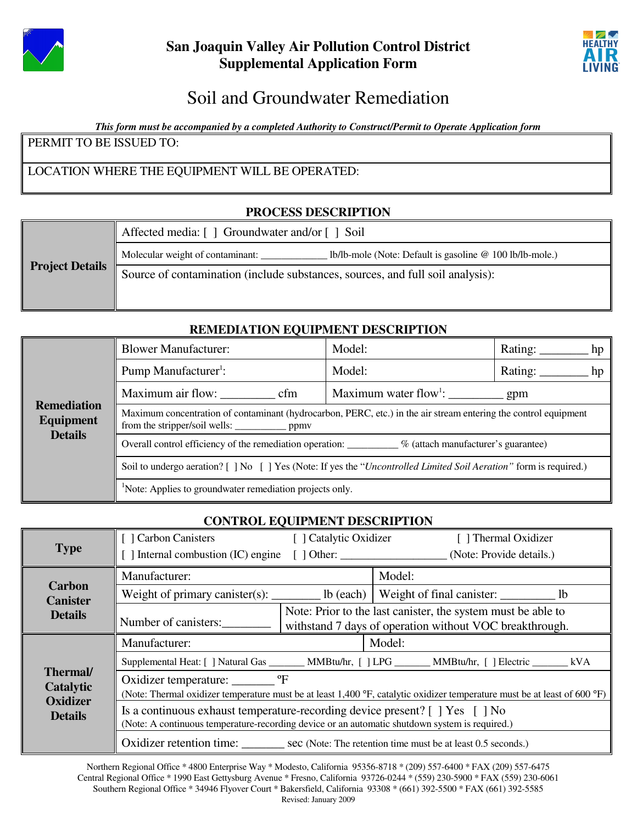



# Soil and Groundwater Remediation

*This form must be accompanied by a completed Authority to Construct/Permit to Operate Application form*

PERMIT TO BE ISSUED TO:

## LOCATION WHERE THE EQUIPMENT WILL BE OPERATED:

## **PROCESS DESCRIPTION**

|                        | Affected media: [] Groundwater and/or [] Soil                                                |  |  |
|------------------------|----------------------------------------------------------------------------------------------|--|--|
|                        | lb/lb-mole (Note: Default is gasoline @ 100 lb/lb-mole.)<br>Molecular weight of contaminant: |  |  |
| <b>Project Details</b> | Source of contamination (include substances, sources, and full soil analysis):               |  |  |
|                        |                                                                                              |  |  |

## **REMEDIATION EQUIPMENT DESCRIPTION**

| <b>Remediation</b><br><b>Equipment</b><br><b>Details</b> | <b>Blower Manufacturer:</b>                                                                                      | Model: | Rating:<br>hp |  |  |
|----------------------------------------------------------|------------------------------------------------------------------------------------------------------------------|--------|---------------|--|--|
|                                                          | Pump Manufacturer <sup>1</sup> :                                                                                 | Model: | Rating:<br>hp |  |  |
|                                                          | Maximum air flow:<br>cfm                                                                                         |        |               |  |  |
|                                                          | Maximum concentration of contaminant (hydrocarbon, PERC, etc.) in the air stream entering the control equipment  |        |               |  |  |
|                                                          | Overall control efficiency of the remediation operation: ________ % (attach manufacturer's guarantee)            |        |               |  |  |
|                                                          | Soil to undergo aeration? [] No [] Yes (Note: If yes the "Uncontrolled Limited Soil Aeration" form is required.) |        |               |  |  |
|                                                          | <sup>1</sup> Note: Applies to groundwater remediation projects only.                                             |        |               |  |  |

#### **CONTROL EQUIPMENT DESCRIPTION**

|                                                                  | Carbon Canisters                                                                                                                                                               | [ ] Catalytic Oxidizer                                                                                                  |        | [ ] Thermal Oxidizer |  |
|------------------------------------------------------------------|--------------------------------------------------------------------------------------------------------------------------------------------------------------------------------|-------------------------------------------------------------------------------------------------------------------------|--------|----------------------|--|
| <b>Type</b>                                                      | [ ] Internal combustion (IC) engine [ ] Other: _______________________(Note: Provide details.)                                                                                 |                                                                                                                         |        |                      |  |
| <b>Carbon</b><br><b>Canister</b><br><b>Details</b>               | Manufacturer:                                                                                                                                                                  |                                                                                                                         | Model: |                      |  |
|                                                                  | Weight of primary canister(s): $\_\_\_\_\_\$ lb (each)   Weight of final canister: $\_\_\_\_\_\_\_\_\$ lb                                                                      |                                                                                                                         |        |                      |  |
|                                                                  | Number of canisters:                                                                                                                                                           | Note: Prior to the last canister, the system must be able to<br>withstand 7 days of operation without VOC breakthrough. |        |                      |  |
| <b>Thermal</b><br>Catalytic<br><b>Oxidizer</b><br><b>Details</b> | Manufacturer:                                                                                                                                                                  |                                                                                                                         | Model: |                      |  |
|                                                                  | Supplemental Heat: [] Natural Gas ________ MMBtu/hr, [] LPG _______ MMBtu/hr, [] Electric ________ kVA                                                                         |                                                                                                                         |        |                      |  |
|                                                                  | Oxidizer temperature: _________ °F<br>(Note: Thermal oxidizer temperature must be at least 1,400 °F, catalytic oxidizer temperature must be at least of 600 °F)                |                                                                                                                         |        |                      |  |
|                                                                  | Is a continuous exhaust temperature-recording device present? [ ] Yes [ ] No<br>(Note: A continuous temperature-recording device or an automatic shutdown system is required.) |                                                                                                                         |        |                      |  |
|                                                                  | Oxidizer retention time: sec (Note: The retention time must be at least 0.5 seconds.)                                                                                          |                                                                                                                         |        |                      |  |

Northern Regional Office \* 4800 Enterprise Way \* Modesto, California 95356-8718 \* (209) 557-6400 \* FAX (209) 557-6475 Central Regional Office \* 1990 East Gettysburg Avenue \* Fresno, California 93726-0244 \* (559) 230-5900 \* FAX (559) 230-6061 Southern Regional Office \* 34946 Flyover Court \* Bakersfield, California 93308 \* (661) 392-5500 \* FAX (661) 392-5585 Revised: January 2009